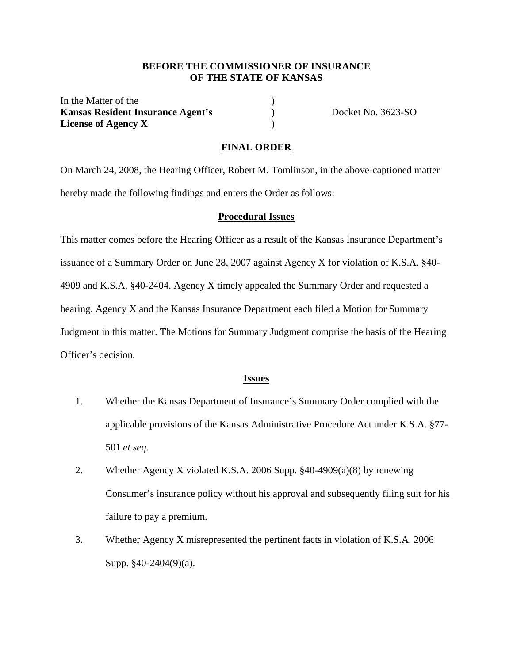### **BEFORE THE COMMISSIONER OF INSURANCE OF THE STATE OF KANSAS**

In the Matter of the **Kansas Resident Insurance Agent's** ) Docket No. 3623-SO **License of Agency X** )

#### **FINAL ORDER**

On March 24, 2008, the Hearing Officer, Robert M. Tomlinson, in the above-captioned matter hereby made the following findings and enters the Order as follows:

#### **Procedural Issues**

This matter comes before the Hearing Officer as a result of the Kansas Insurance Department's issuance of a Summary Order on June 28, 2007 against Agency X for violation of K.S.A. §40- 4909 and K.S.A. §40-2404. Agency X timely appealed the Summary Order and requested a hearing. Agency X and the Kansas Insurance Department each filed a Motion for Summary Judgment in this matter. The Motions for Summary Judgment comprise the basis of the Hearing Officer's decision.

### **Issues**

- 1. Whether the Kansas Department of Insurance's Summary Order complied with the applicable provisions of the Kansas Administrative Procedure Act under K.S.A. §77- 501 *et seq*.
- 2. Whether Agency X violated K.S.A. 2006 Supp. §40-4909(a)(8) by renewing Consumer's insurance policy without his approval and subsequently filing suit for his failure to pay a premium.
- 3. Whether Agency X misrepresented the pertinent facts in violation of K.S.A. 2006 Supp. §40-2404(9)(a).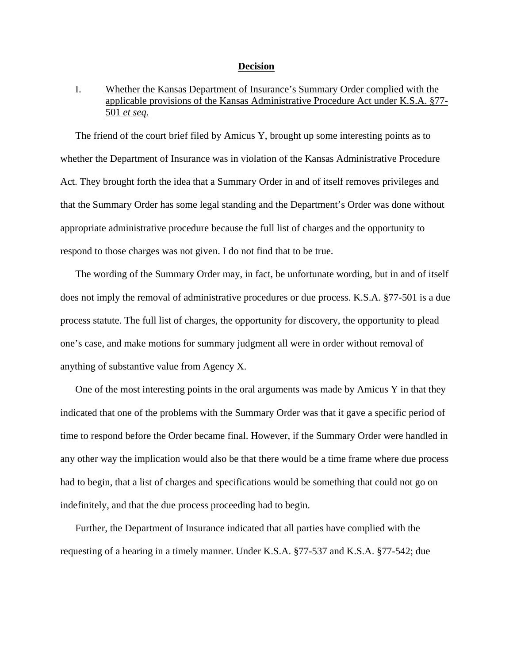#### **Decision**

# I. Whether the Kansas Department of Insurance's Summary Order complied with the applicable provisions of the Kansas Administrative Procedure Act under K.S.A. §77- 501 *et seq*.

The friend of the court brief filed by Amicus Y, brought up some interesting points as to whether the Department of Insurance was in violation of the Kansas Administrative Procedure Act. They brought forth the idea that a Summary Order in and of itself removes privileges and that the Summary Order has some legal standing and the Department's Order was done without appropriate administrative procedure because the full list of charges and the opportunity to respond to those charges was not given. I do not find that to be true.

The wording of the Summary Order may, in fact, be unfortunate wording, but in and of itself does not imply the removal of administrative procedures or due process. K.S.A. §77-501 is a due process statute. The full list of charges, the opportunity for discovery, the opportunity to plead one's case, and make motions for summary judgment all were in order without removal of anything of substantive value from Agency X.

One of the most interesting points in the oral arguments was made by Amicus Y in that they indicated that one of the problems with the Summary Order was that it gave a specific period of time to respond before the Order became final. However, if the Summary Order were handled in any other way the implication would also be that there would be a time frame where due process had to begin, that a list of charges and specifications would be something that could not go on indefinitely, and that the due process proceeding had to begin.

Further, the Department of Insurance indicated that all parties have complied with the requesting of a hearing in a timely manner. Under K.S.A. §77-537 and K.S.A. §77-542; due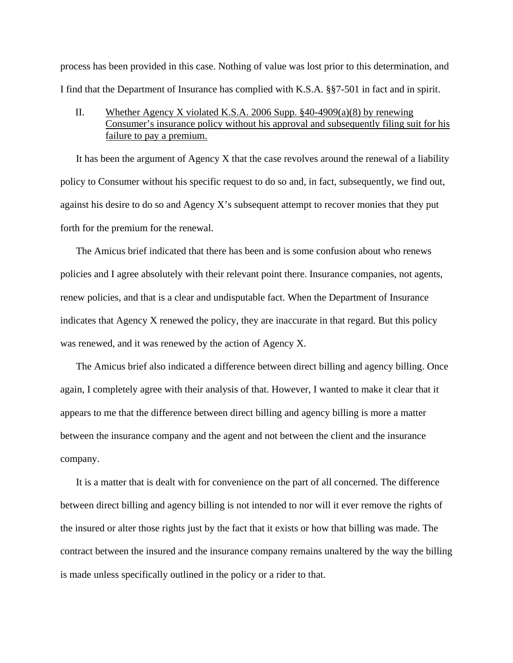process has been provided in this case. Nothing of value was lost prior to this determination, and I find that the Department of Insurance has complied with K.S.A. §§7-501 in fact and in spirit.

## II. Whether Agency X violated K.S.A. 2006 Supp. §40-4909(a)(8) by renewing Consumer's insurance policy without his approval and subsequently filing suit for his failure to pay a premium.

It has been the argument of Agency X that the case revolves around the renewal of a liability policy to Consumer without his specific request to do so and, in fact, subsequently, we find out, against his desire to do so and Agency X's subsequent attempt to recover monies that they put forth for the premium for the renewal.

The Amicus brief indicated that there has been and is some confusion about who renews policies and I agree absolutely with their relevant point there. Insurance companies, not agents, renew policies, and that is a clear and undisputable fact. When the Department of Insurance indicates that Agency X renewed the policy, they are inaccurate in that regard. But this policy was renewed, and it was renewed by the action of Agency X.

The Amicus brief also indicated a difference between direct billing and agency billing. Once again, I completely agree with their analysis of that. However, I wanted to make it clear that it appears to me that the difference between direct billing and agency billing is more a matter between the insurance company and the agent and not between the client and the insurance company.

It is a matter that is dealt with for convenience on the part of all concerned. The difference between direct billing and agency billing is not intended to nor will it ever remove the rights of the insured or alter those rights just by the fact that it exists or how that billing was made. The contract between the insured and the insurance company remains unaltered by the way the billing is made unless specifically outlined in the policy or a rider to that.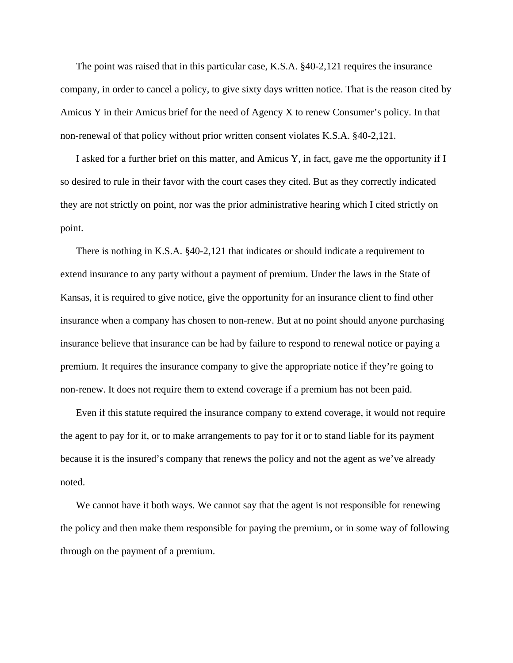The point was raised that in this particular case, K.S.A. §40-2,121 requires the insurance company, in order to cancel a policy, to give sixty days written notice. That is the reason cited by Amicus Y in their Amicus brief for the need of Agency X to renew Consumer's policy. In that non-renewal of that policy without prior written consent violates K.S.A. §40-2,121.

I asked for a further brief on this matter, and Amicus Y, in fact, gave me the opportunity if I so desired to rule in their favor with the court cases they cited. But as they correctly indicated they are not strictly on point, nor was the prior administrative hearing which I cited strictly on point.

There is nothing in K.S.A. §40-2,121 that indicates or should indicate a requirement to extend insurance to any party without a payment of premium. Under the laws in the State of Kansas, it is required to give notice, give the opportunity for an insurance client to find other insurance when a company has chosen to non-renew. But at no point should anyone purchasing insurance believe that insurance can be had by failure to respond to renewal notice or paying a premium. It requires the insurance company to give the appropriate notice if they're going to non-renew. It does not require them to extend coverage if a premium has not been paid.

Even if this statute required the insurance company to extend coverage, it would not require the agent to pay for it, or to make arrangements to pay for it or to stand liable for its payment because it is the insured's company that renews the policy and not the agent as we've already noted.

We cannot have it both ways. We cannot say that the agent is not responsible for renewing the policy and then make them responsible for paying the premium, or in some way of following through on the payment of a premium.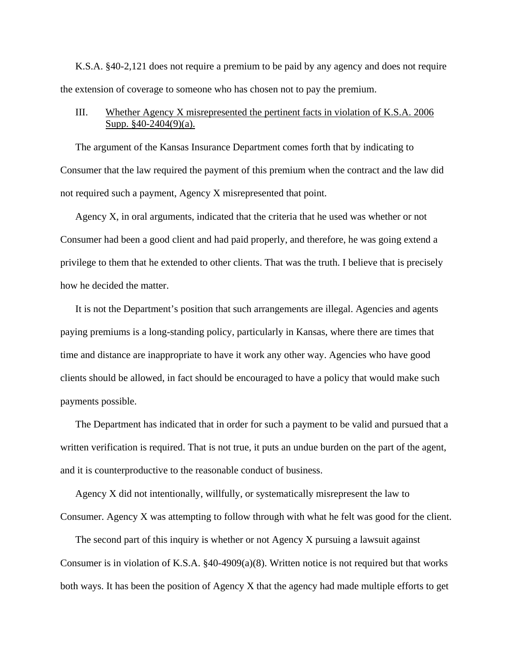K.S.A. §40-2,121 does not require a premium to be paid by any agency and does not require the extension of coverage to someone who has chosen not to pay the premium.

## III. Whether Agency X misrepresented the pertinent facts in violation of K.S.A. 2006 Supp. §40-2404(9)(a).

The argument of the Kansas Insurance Department comes forth that by indicating to Consumer that the law required the payment of this premium when the contract and the law did not required such a payment, Agency X misrepresented that point.

Agency X, in oral arguments, indicated that the criteria that he used was whether or not Consumer had been a good client and had paid properly, and therefore, he was going extend a privilege to them that he extended to other clients. That was the truth. I believe that is precisely how he decided the matter.

It is not the Department's position that such arrangements are illegal. Agencies and agents paying premiums is a long-standing policy, particularly in Kansas, where there are times that time and distance are inappropriate to have it work any other way. Agencies who have good clients should be allowed, in fact should be encouraged to have a policy that would make such payments possible.

The Department has indicated that in order for such a payment to be valid and pursued that a written verification is required. That is not true, it puts an undue burden on the part of the agent, and it is counterproductive to the reasonable conduct of business.

Agency X did not intentionally, willfully, or systematically misrepresent the law to Consumer. Agency X was attempting to follow through with what he felt was good for the client.

The second part of this inquiry is whether or not Agency X pursuing a lawsuit against Consumer is in violation of K.S.A. §40-4909(a)(8). Written notice is not required but that works both ways. It has been the position of Agency X that the agency had made multiple efforts to get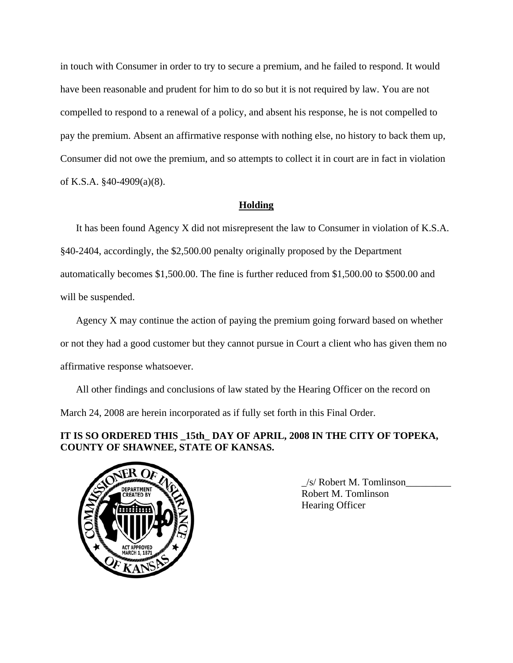in touch with Consumer in order to try to secure a premium, and he failed to respond. It would have been reasonable and prudent for him to do so but it is not required by law. You are not compelled to respond to a renewal of a policy, and absent his response, he is not compelled to pay the premium. Absent an affirmative response with nothing else, no history to back them up, Consumer did not owe the premium, and so attempts to collect it in court are in fact in violation of K.S.A. §40-4909(a)(8).

## **Holding**

It has been found Agency X did not misrepresent the law to Consumer in violation of K.S.A. §40-2404, accordingly, the \$2,500.00 penalty originally proposed by the Department automatically becomes \$1,500.00. The fine is further reduced from \$1,500.00 to \$500.00 and will be suspended.

Agency X may continue the action of paying the premium going forward based on whether or not they had a good customer but they cannot pursue in Court a client who has given them no affirmative response whatsoever.

All other findings and conclusions of law stated by the Hearing Officer on the record on March 24, 2008 are herein incorporated as if fully set forth in this Final Order.

# **IT IS SO ORDERED THIS \_15th\_ DAY OF APRIL, 2008 IN THE CITY OF TOPEKA, COUNTY OF SHAWNEE, STATE OF KANSAS.**



\_/s/ Robert M. Tomlinson\_\_\_\_\_\_\_\_\_ Robert M. Tomlinson Hearing Officer